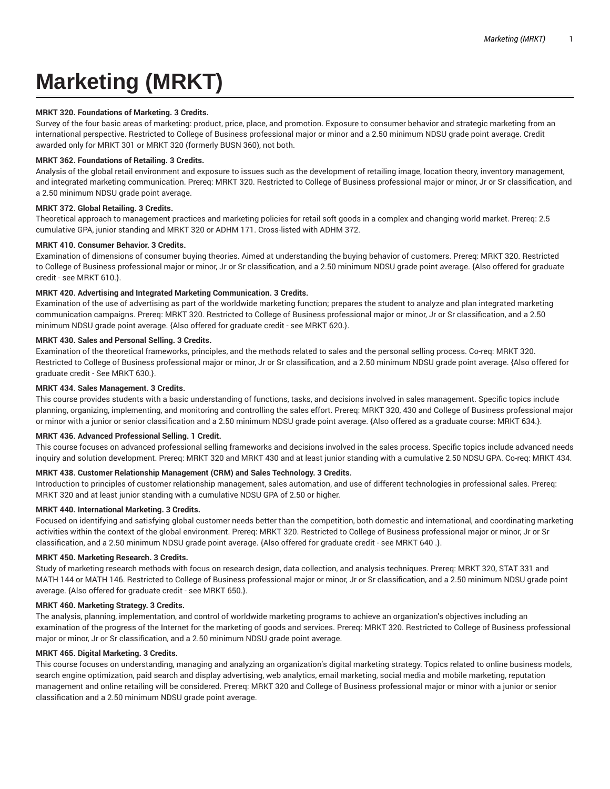# **Marketing (MRKT)**

#### **MRKT 320. Foundations of Marketing. 3 Credits.**

Survey of the four basic areas of marketing: product, price, place, and promotion. Exposure to consumer behavior and strategic marketing from an international perspective. Restricted to College of Business professional major or minor and a 2.50 minimum NDSU grade point average. Credit awarded only for MRKT 301 or MRKT 320 (formerly BUSN 360), not both.

#### **MRKT 362. Foundations of Retailing. 3 Credits.**

Analysis of the global retail environment and exposure to issues such as the development of retailing image, location theory, inventory management, and integrated marketing communication. Prereq: MRKT 320. Restricted to College of Business professional major or minor, Jr or Sr classification, and a 2.50 minimum NDSU grade point average.

# **MRKT 372. Global Retailing. 3 Credits.**

Theoretical approach to management practices and marketing policies for retail soft goods in a complex and changing world market. Prereq: 2.5 cumulative GPA, junior standing and MRKT 320 or ADHM 171. Cross-listed with ADHM 372.

# **MRKT 410. Consumer Behavior. 3 Credits.**

Examination of dimensions of consumer buying theories. Aimed at understanding the buying behavior of customers. Prereq: MRKT 320. Restricted to College of Business professional major or minor, Jr or Sr classification, and a 2.50 minimum NDSU grade point average. {Also offered for graduate credit - see MRKT 610.}.

# **MRKT 420. Advertising and Integrated Marketing Communication. 3 Credits.**

Examination of the use of advertising as part of the worldwide marketing function; prepares the student to analyze and plan integrated marketing communication campaigns. Prereq: MRKT 320. Restricted to College of Business professional major or minor, Jr or Sr classification, and a 2.50 minimum NDSU grade point average. {Also offered for graduate credit - see MRKT 620.}.

# **MRKT 430. Sales and Personal Selling. 3 Credits.**

Examination of the theoretical frameworks, principles, and the methods related to sales and the personal selling process. Co-req: MRKT 320. Restricted to College of Business professional major or minor, Jr or Sr classification, and a 2.50 minimum NDSU grade point average. {Also offered for graduate credit - See MRKT 630.}.

# **MRKT 434. Sales Management. 3 Credits.**

This course provides students with a basic understanding of functions, tasks, and decisions involved in sales management. Specific topics include planning, organizing, implementing, and monitoring and controlling the sales effort. Prereq: MRKT 320, 430 and College of Business professional major or minor with a junior or senior classification and a 2.50 minimum NDSU grade point average. {Also offered as a graduate course: MRKT 634.}.

#### **MRKT 436. Advanced Professional Selling. 1 Credit.**

This course focuses on advanced professional selling frameworks and decisions involved in the sales process. Specific topics include advanced needs inquiry and solution development. Prereq: MRKT 320 and MRKT 430 and at least junior standing with a cumulative 2.50 NDSU GPA. Co-req: MRKT 434.

#### **MRKT 438. Customer Relationship Management (CRM) and Sales Technology. 3 Credits.**

Introduction to principles of customer relationship management, sales automation, and use of different technologies in professional sales. Prereq: MRKT 320 and at least junior standing with a cumulative NDSU GPA of 2.50 or higher.

#### **MRKT 440. International Marketing. 3 Credits.**

Focused on identifying and satisfying global customer needs better than the competition, both domestic and international, and coordinating marketing activities within the context of the global environment. Prereq: MRKT 320. Restricted to College of Business professional major or minor, Jr or Sr classification, and a 2.50 minimum NDSU grade point average. {Also offered for graduate credit - see MRKT 640 .}.

# **MRKT 450. Marketing Research. 3 Credits.**

Study of marketing research methods with focus on research design, data collection, and analysis techniques. Prereq: MRKT 320, STAT 331 and MATH 144 or MATH 146. Restricted to College of Business professional major or minor, Jr or Sr classification, and a 2.50 minimum NDSU grade point average. {Also offered for graduate credit - see MRKT 650.}.

#### **MRKT 460. Marketing Strategy. 3 Credits.**

The analysis, planning, implementation, and control of worldwide marketing programs to achieve an organization's objectives including an examination of the progress of the Internet for the marketing of goods and services. Prereq: MRKT 320. Restricted to College of Business professional major or minor, Jr or Sr classification, and a 2.50 minimum NDSU grade point average.

#### **MRKT 465. Digital Marketing. 3 Credits.**

This course focuses on understanding, managing and analyzing an organization's digital marketing strategy. Topics related to online business models, search engine optimization, paid search and display advertising, web analytics, email marketing, social media and mobile marketing, reputation management and online retailing will be considered. Prereq: MRKT 320 and College of Business professional major or minor with a junior or senior classification and a 2.50 minimum NDSU grade point average.